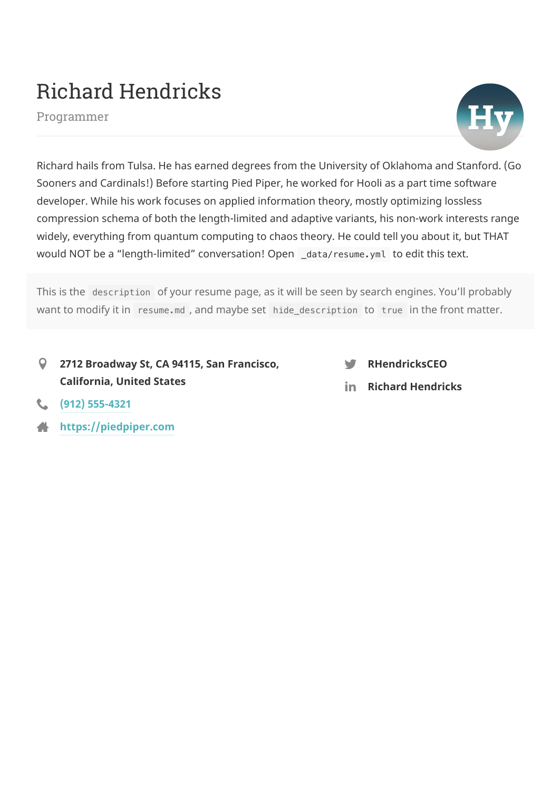# Richard Hendricks

Programmer



Richard hails from Tulsa. He has earned degrees from the University of Oklahoma and Stanford. (Go Sooners and Cardinals!) Before starting Pied Piper, he worked for Hooli as a part time software developer. While his work focuses on applied information theory, mostly optimizing lossless compression schema of both the length-limited and adaptive variants, his non-work interests range widely, everything from quantum computing to chaos theory. He could tell you about it, but THAT would NOT be a "length-limited" conversation! Open \_data/resume.yml to edit this text.

This is the description of your resume page, as it will be seen by search engines. You'll probably want to modify it in resume.md, and maybe set hide\_description to true in the front matter.

**2712 Broadway St, CA 94115, San Francisco, California, United States**  $\mathsf{Q}$ 



**Richard Hendricks**

- **(912) [555-4321](tel:(912)555-4321)**
- **[https://piedpiper.com](https://piedpiper.com/)**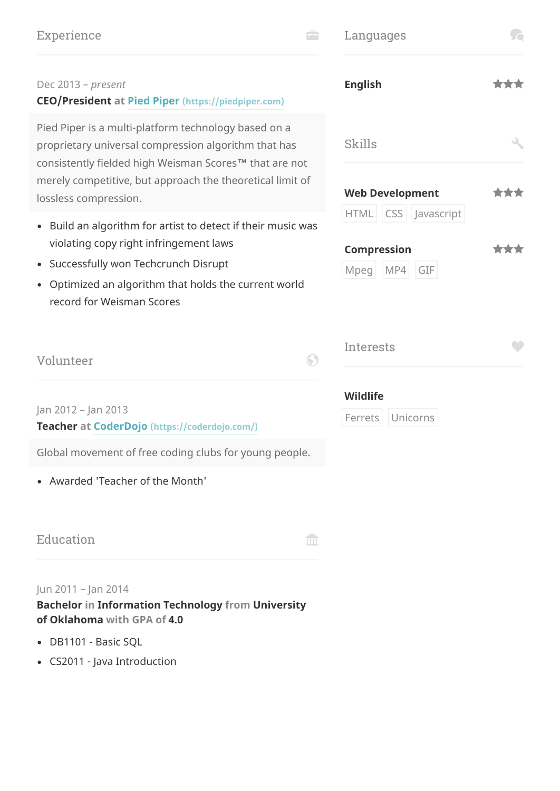# Experience **Experience**

| Languages |  |
|-----------|--|
|           |  |

#### Dec 2013 – *present*

#### **CEO/President at Pied Piper [\(https://piedpiper.com\)](https://piedpiper.com/)**

Pied Piper is a multi-platform technology based on a proprietary universal compression algorithm that has consistently fielded high Weisman Scores™ that are not merely competitive, but approach the theoretical limit of lossless compression.

- Build an algorithm for artist to detect if their music was violating copy right infringement laws
- Successfully won Techcrunch Disrupt
- Optimized an algorithm that holds the current world record for Weisman Scores

| Volunteer |
|-----------|
|-----------|

Jan 2012 – Jan 2013

**Teacher at CoderDojo [\(https://coderdojo.com/\)](https://coderdojo.com/)**

Global movement of free coding clubs for young people.

Awarded 'Teacher of the Month'

| Education |  |
|-----------|--|
|           |  |

#### Jun 2011 – Jan 2014

**Bachelor in Information Technology from University of Oklahoma with GPA of 4.0**

- DB1101 Basic SQL
- CS2011 Java Introduction

| <b>English</b>     |                                                   | <b>The Second Service</b> |
|--------------------|---------------------------------------------------|---------------------------|
| Skills             |                                                   |                           |
|                    | <b>Web Development</b><br>HTML   CSS   Javascript | **                        |
| <b>Compression</b> | Mpeg   MP4   GIF                                  |                           |
|                    |                                                   |                           |

| Interests |  |
|-----------|--|
| MIBLIBC   |  |

**Wildlife**

Ferrets Unicorns